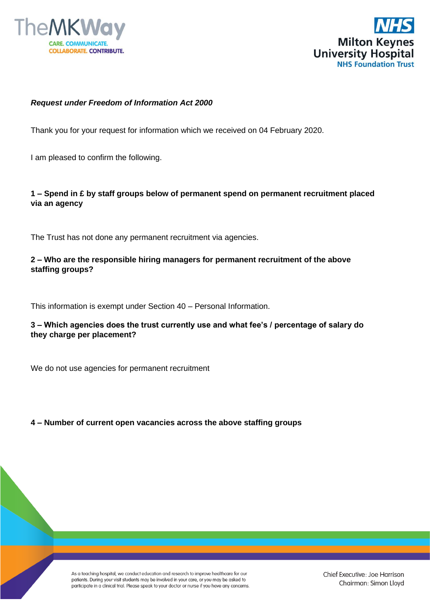



#### *Request under Freedom of Information Act 2000*

Thank you for your request for information which we received on 04 February 2020.

I am pleased to confirm the following.

# **1 – Spend in £ by staff groups below of permanent spend on permanent recruitment placed via an agency**

The Trust has not done any permanent recruitment via agencies.

# **2 – Who are the responsible hiring managers for permanent recruitment of the above staffing groups?**

This information is exempt under Section 40 – Personal Information.

# **3 – Which agencies does the trust currently use and what fee's / percentage of salary do they charge per placement?**

We do not use agencies for permanent recruitment

#### **4 – Number of current open vacancies across the above staffing groups**

As a teaching hospital, we conduct education and research to improve healthcare for our patients. During your visit students may be involved in your care, or you may be asked to participate in a clinical trial. Please speak to your doctor or nurse if you have any concerns.